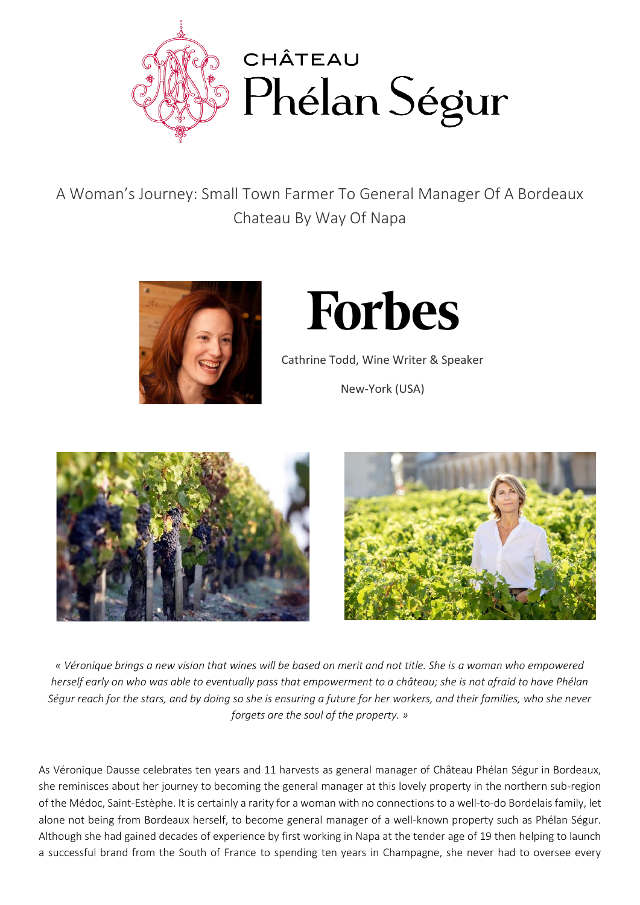

A Woman's Journey: Small Town Farmer To General Manager Of A Bordeaux Chateau By Way Of Napa





Cathrine Todd, Wine Writer & Speaker

New-York (USA)



*« Véronique brings a new vision that wines will be based on merit and not title. She is a woman who empowered herself early on who was able to eventually pass that empowerment to a château; she is not afraid to have Phélan Ségur reach for the stars, and by doing so she is ensuring a future for her workers, and their families, who she never forgets are the soul of the property. »*

As Véronique Dausse celebrates ten years and 11 harvests as general manager of Château Phélan Ségur in Bordeaux, she reminisces about her journey to becoming the general manager at this lovely property in the northern sub-region of the Médoc, Saint-Estèphe. It is certainly a rarity for a woman with no connections to a well-to-do Bordelais family, let alone not being from Bordeaux herself, to become general manager of a well-known property such as Phélan Ségur. Although she had gained decades of experience by first working in Napa at the tender age of 19 then helping to launch a successful brand from the South of France to spending ten years in Champagne, she never had to oversee every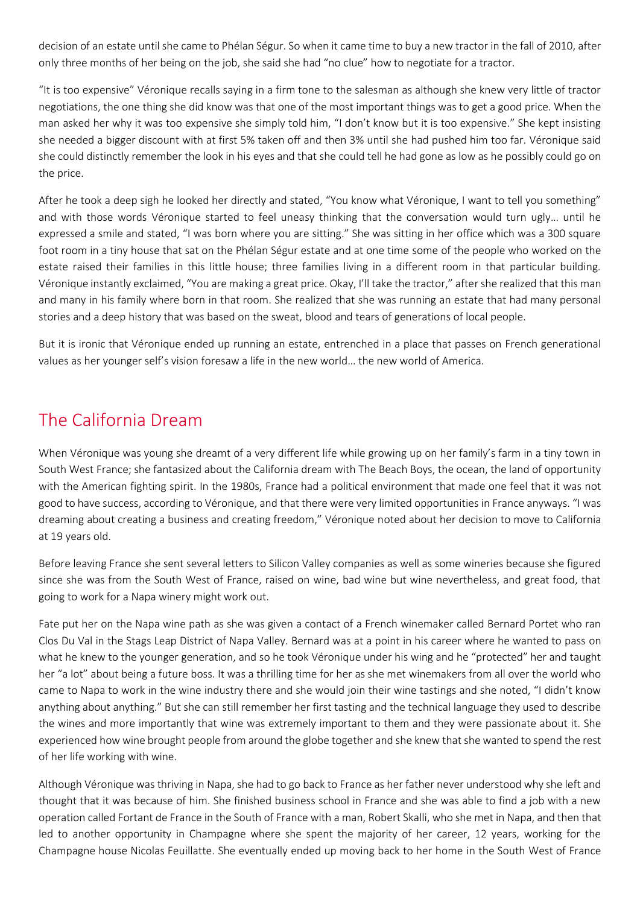decision of an estate until she came to Phélan Ségur. So when it came time to buy a new tractor in the fall of 2010, after only three months of her being on the job, she said she had "no clue" how to negotiate for a tractor.

"It is too expensive" Véronique recalls saying in a firm tone to the salesman as although she knew very little of tractor negotiations, the one thing she did know was that one of the most important things was to get a good price. When the man asked her why it was too expensive she simply told him, "I don't know but it is too expensive." She kept insisting she needed a bigger discount with at first 5% taken off and then 3% until she had pushed him too far. Véronique said she could distinctly remember the look in his eyes and that she could tell he had gone as low as he possibly could go on the price.

After he took a deep sigh he looked her directly and stated, "You know what Véronique, I want to tell you something" and with those words Véronique started to feel uneasy thinking that the conversation would turn ugly… until he expressed a smile and stated, "I was born where you are sitting." She was sitting in her office which was a 300 square foot room in a tiny house that sat on the Phélan Ségur estate and at one time some of the people who worked on the estate raised their families in this little house; three families living in a different room in that particular building. Véronique instantly exclaimed, "You are making a great price. Okay, I'll take the tractor," after she realized that this man and many in his family where born in that room. She realized that she was running an estate that had many personal stories and a deep history that was based on the sweat, blood and tears of generations of local people.

But it is ironic that Véronique ended up running an estate, entrenched in a place that passes on French generational values as her younger self's vision foresaw a life in the new world… the new world of America.

## The California Dream

When Véronique was young she dreamt of a very different life while growing up on her family's farm in a tiny town in South West France; she fantasized about the California dream with The Beach Boys, the ocean, the land of opportunity with the American fighting spirit. In the 1980s, France had a political environment that made one feel that it was not good to have success, according to Véronique, and that there were very limited opportunities in France anyways. "I was dreaming about creating a business and creating freedom," Véronique noted about her decision to move to California at 19 years old.

Before leaving France she sent several letters to Silicon Valley companies as well as some wineries because she figured since she was from the South West of France, raised on wine, bad wine but wine nevertheless, and great food, that going to work for a Napa winery might work out.

Fate put her on the Napa wine path as she was given a contact of a French winemaker called Bernard Portet who ran Clos Du Val in the Stags Leap District of Napa Valley. Bernard was at a point in his career where he wanted to pass on what he knew to the younger generation, and so he took Véronique under his wing and he "protected" her and taught her "a lot" about being a future boss. It was a thrilling time for her as she met winemakers from all over the world who came to Napa to work in the wine industry there and she would join their wine tastings and she noted, "I didn't know anything about anything." But she can still remember her first tasting and the technical language they used to describe the wines and more importantly that wine was extremely important to them and they were passionate about it. She experienced how wine brought people from around the globe together and she knew that she wanted to spend the rest of her life working with wine.

Although Véronique was thriving in Napa, she had to go back to France as her father never understood why she left and thought that it was because of him. She finished business school in France and she was able to find a job with a new operation called Fortant de France in the South of France with a man, Robert Skalli, who she met in Napa, and then that led to another opportunity in Champagne where she spent the majority of her career, 12 years, working for the Champagne house Nicolas Feuillatte. She eventually ended up moving back to her home in the South West of France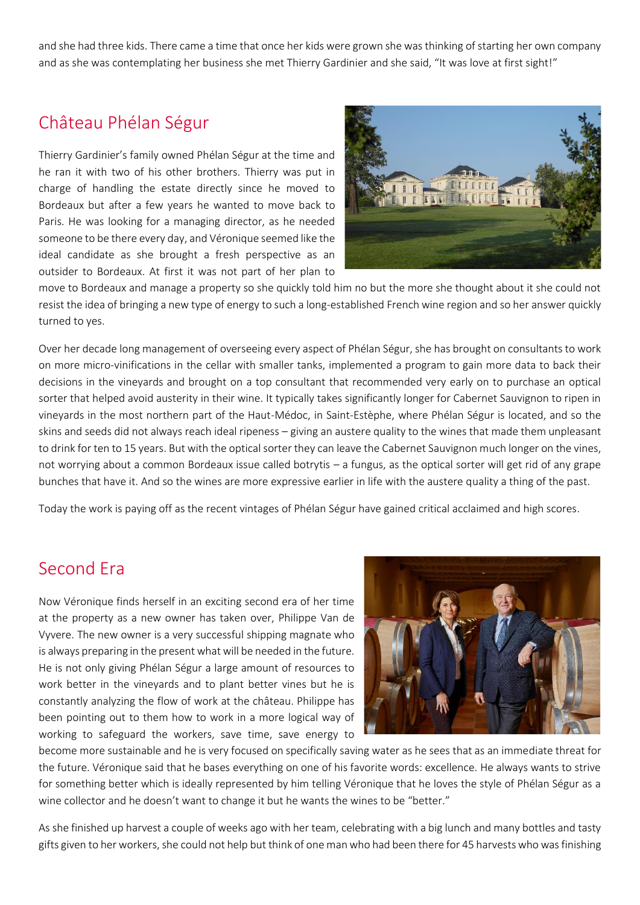and she had three kids. There came a time that once her kids were grown she was thinking of starting her own company and as she was contemplating her business she met Thierry Gardinier and she said, "It was love at first sight!"

## Château Phélan Ségur

Thierry Gardinier's family owned Phélan Ségur at the time and he ran it with two of his other brothers. Thierry was put in charge of handling the estate directly since he moved to Bordeaux but after a few years he wanted to move back to Paris. He was looking for a managing director, as he needed someone to be there every day, and Véronique seemed like the ideal candidate as she brought a fresh perspective as an outsider to Bordeaux. At first it was not part of her plan to



move to Bordeaux and manage a property so she quickly told him no but the more she thought about it she could not resist the idea of bringing a new type of energy to such a long-established French wine region and so her answer quickly turned to yes.

Over her decade long management of overseeing every aspect of Phélan Ségur, she has brought on consultants to work on more micro-vinifications in the cellar with smaller tanks, implemented a program to gain more data to back their decisions in the vineyards and brought on a top consultant that recommended very early on to purchase an optical sorter that helped avoid austerity in their wine. It typically takes significantly longer for Cabernet Sauvignon to ripen in vineyards in the most northern part of the Haut-Médoc, in Saint-Estèphe, where Phélan Ségur is located, and so the skins and seeds did not always reach ideal ripeness – giving an austere quality to the wines that made them unpleasant to drink for ten to 15 years. But with the optical sorter they can leave the Cabernet Sauvignon much longer on the vines, not worrying about a common Bordeaux issue called botrytis – a fungus, as the optical sorter will get rid of any grape bunches that have it. And so the wines are more expressive earlier in life with the austere quality a thing of the past.

Today the work is paying off as the recent vintages of Phélan Ségur have gained critical acclaimed and high scores.

## Second Era

Now Véronique finds herself in an exciting second era of her time at the property as a new owner has taken over, Philippe Van de Vyvere. The new owner is a very successful shipping magnate who is always preparing in the present what will be needed in the future. He is not only giving Phélan Ségur a large amount of resources to work better in the vineyards and to plant better vines but he is constantly analyzing the flow of work at the château. Philippe has been pointing out to them how to work in a more logical way of working to safeguard the workers, save time, save energy to



become more sustainable and he is very focused on specifically saving water as he sees that as an immediate threat for the future. Véronique said that he bases everything on one of his favorite words: excellence. He always wants to strive for something better which is ideally represented by him telling Véronique that he loves the style of Phélan Ségur as a wine collector and he doesn't want to change it but he wants the wines to be "better."

As she finished up harvest a couple of weeks ago with her team, celebrating with a big lunch and many bottles and tasty gifts given to her workers, she could not help but think of one man who had been there for 45 harvests who was finishing